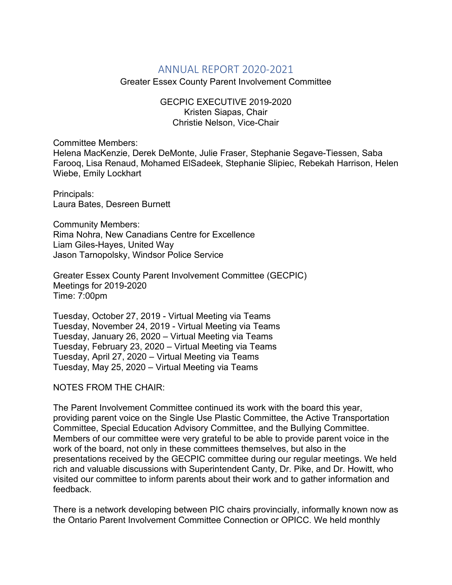## ANNUAL REPORT 2020-2021

Greater Essex County Parent Involvement Committee

GECPIC EXECUTIVE 2019-2020 Kristen Siapas, Chair Christie Nelson, Vice-Chair

Committee Members:

Helena MacKenzie, Derek DeMonte, Julie Fraser, Stephanie Segave-Tiessen, Saba Farooq, Lisa Renaud, Mohamed ElSadeek, Stephanie Slipiec, Rebekah Harrison, Helen Wiebe, Emily Lockhart

Principals: Laura Bates, Desreen Burnett

Community Members: Rima Nohra, New Canadians Centre for Excellence Liam Giles-Hayes, United Way Jason Tarnopolsky, Windsor Police Service

Greater Essex County Parent Involvement Committee (GECPIC) Meetings for 2019-2020 Time: 7:00pm

Tuesday, October 27, 2019 - Virtual Meeting via Teams Tuesday, November 24, 2019 - Virtual Meeting via Teams Tuesday, January 26, 2020 – Virtual Meeting via Teams Tuesday, February 23, 2020 – Virtual Meeting via Teams Tuesday, April 27, 2020 – Virtual Meeting via Teams Tuesday, May 25, 2020 – Virtual Meeting via Teams

NOTES FROM THE CHAIR:

The Parent Involvement Committee continued its work with the board this year, providing parent voice on the Single Use Plastic Committee, the Active Transportation Committee, Special Education Advisory Committee, and the Bullying Committee. Members of our committee were very grateful to be able to provide parent voice in the work of the board, not only in these committees themselves, but also in the presentations received by the GECPIC committee during our regular meetings. We held rich and valuable discussions with Superintendent Canty, Dr. Pike, and Dr. Howitt, who visited our committee to inform parents about their work and to gather information and feedback.

There is a network developing between PIC chairs provincially, informally known now as the Ontario Parent Involvement Committee Connection or OPICC. We held monthly